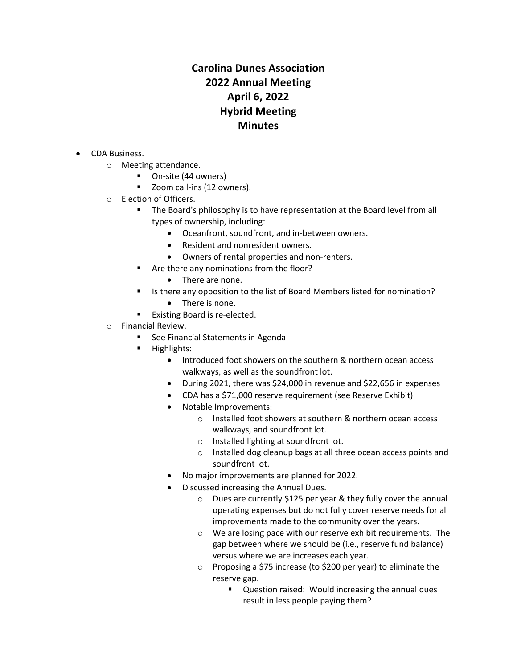## **Carolina Dunes Association 2022 Annual Meeting April 6, 2022 Hybrid Meeting Minutes**

- CDA Business.
	- o Meeting attendance.
		- On-site (44 owners)
		- Zoom call-ins (12 owners).
	- o Election of Officers.
		- § The Board's philosophy is to have representation at the Board level from all types of ownership, including:
			- Oceanfront, soundfront, and in-between owners.
			- Resident and nonresident owners.
			- Owners of rental properties and non-renters.
		- § Are there any nominations from the floor?
			- There are none.
		- Is there any opposition to the list of Board Members listed for nomination?
		- There is none.
		- Existing Board is re-elected.
	- o Financial Review.
		- § See Financial Statements in Agenda
		- Highlights:
			- Introduced foot showers on the southern & northern ocean access walkways, as well as the soundfront lot.
			- During 2021, there was \$24,000 in revenue and \$22,656 in expenses
			- CDA has a \$71,000 reserve requirement (see Reserve Exhibit)
			- Notable Improvements:
				- o Installed foot showers at southern & northern ocean access walkways, and soundfront lot.
				- o Installed lighting at soundfront lot.
				- o Installed dog cleanup bags at all three ocean access points and soundfront lot.
			- No major improvements are planned for 2022.
			- Discussed increasing the Annual Dues.
				- o Dues are currently \$125 per year & they fully cover the annual operating expenses but do not fully cover reserve needs for all improvements made to the community over the years.
				- o We are losing pace with our reserve exhibit requirements. The gap between where we should be (i.e., reserve fund balance) versus where we are increases each year.
				- o Proposing a \$75 increase (to \$200 per year) to eliminate the reserve gap.
					- Question raised: Would increasing the annual dues result in less people paying them?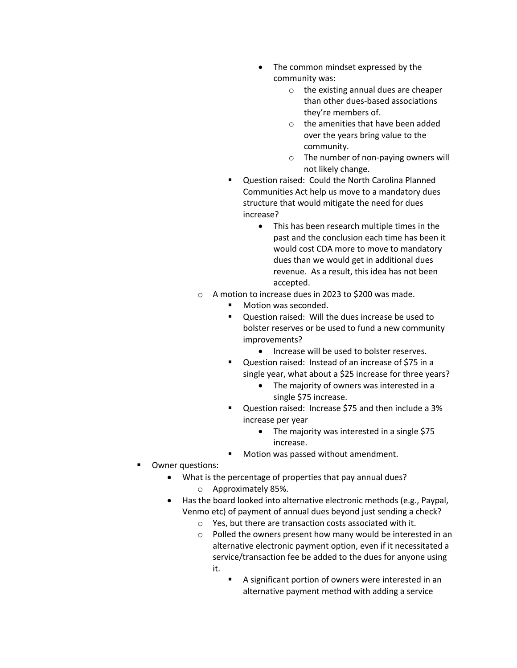- The common mindset expressed by the community was:
	- o the existing annual dues are cheaper than other dues-based associations they're members of.
	- o the amenities that have been added over the years bring value to the community.
	- o The number of non-paying owners will not likely change.
- § Question raised: Could the North Carolina Planned Communities Act help us move to a mandatory dues structure that would mitigate the need for dues increase?
	- This has been research multiple times in the past and the conclusion each time has been it would cost CDA more to move to mandatory dues than we would get in additional dues revenue. As a result, this idea has not been accepted.
- o A motion to increase dues in 2023 to \$200 was made.
	- Motion was seconded.
	- Question raised: Will the dues increase be used to bolster reserves or be used to fund a new community improvements?
		- Increase will be used to bolster reserves.
	- Question raised: Instead of an increase of \$75 in a single year, what about a \$25 increase for three years?
		- The majority of owners was interested in a single \$75 increase.
	- § Question raised: Increase \$75 and then include a 3% increase per year
		- The majority was interested in a single \$75 increase.
	- Motion was passed without amendment.
- Owner questions:
	- What is the percentage of properties that pay annual dues? o Approximately 85%.
	- Has the board looked into alternative electronic methods (e.g., Paypal, Venmo etc) of payment of annual dues beyond just sending a check?
		- o Yes, but there are transaction costs associated with it.
		- o Polled the owners present how many would be interested in an alternative electronic payment option, even if it necessitated a service/transaction fee be added to the dues for anyone using it.
			- A significant portion of owners were interested in an alternative payment method with adding a service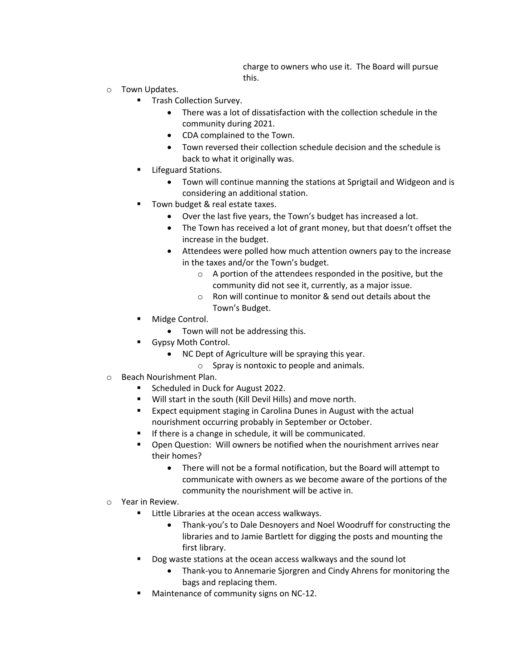charge to owners who use it. The Board will pursue this.

- o Town Updates.
	- § Trash Collection Survey.
		- There was a lot of dissatisfaction with the collection schedule in the community during 2021.
		- CDA complained to the Town.
		- Town reversed their collection schedule decision and the schedule is back to what it originally was.
	- § Lifeguard Stations.
		- Town will continue manning the stations at Sprigtail and Widgeon and is considering an additional station.
	- Town budget & real estate taxes.
		- Over the last five years, the Town's budget has increased a lot.
		- The Town has received a lot of grant money, but that doesn't offset the increase in the budget.
		- Attendees were polled how much attention owners pay to the increase in the taxes and/or the Town's budget.
			- o A portion of the attendees responded in the positive, but the community did not see it, currently, as a major issue.
			- o Ron will continue to monitor & send out details about the Town's Budget.
	- Midge Control.
		- Town will not be addressing this.
	- § Gypsy Moth Control.
		- NC Dept of Agriculture will be spraying this year.
			- o Spray is nontoxic to people and animals.
- o Beach Nourishment Plan.
	- Scheduled in Duck for August 2022.
	- § Will start in the south (Kill Devil Hills) and move north.
	- Expect equipment staging in Carolina Dunes in August with the actual nourishment occurring probably in September or October.
	- If there is a change in schedule, it will be communicated.
	- Open Question: Will owners be notified when the nourishment arrives near their homes?
		- There will not be a formal notification, but the Board will attempt to communicate with owners as we become aware of the portions of the community the nourishment will be active in.
- o Year in Review.
	- Little Libraries at the ocean access walkways.
		- Thank-you's to Dale Desnoyers and Noel Woodruff for constructing the libraries and to Jamie Bartlett for digging the posts and mounting the first library.
	- Dog waste stations at the ocean access walkways and the sound lot
		- Thank-you to Annemarie Sjorgren and Cindy Ahrens for monitoring the bags and replacing them.
	- § Maintenance of community signs on NC-12.